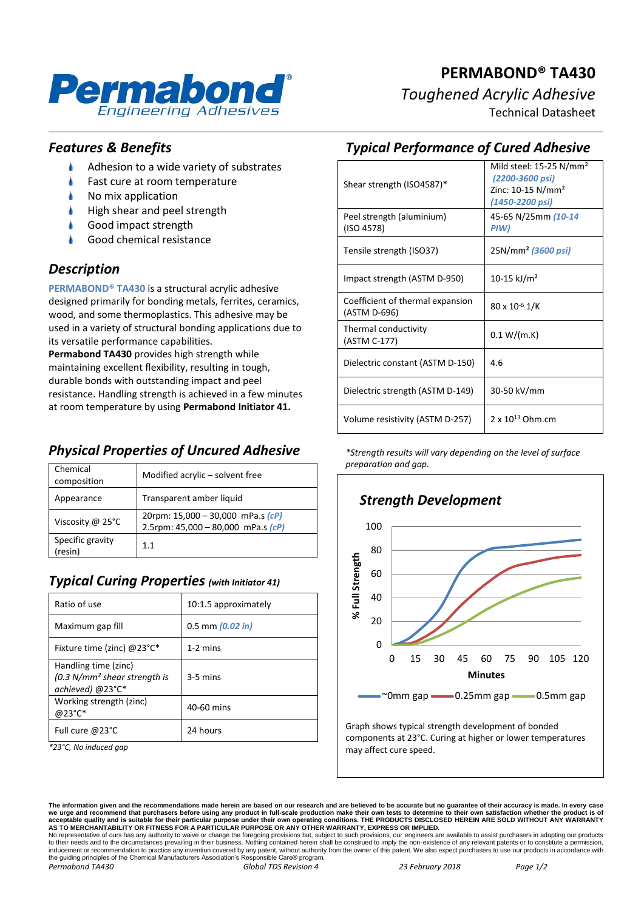

# **PERMABOND® TA430** *Toughened Acrylic Adhesive*

Technical Datasheet

#### *Features & Benefits*

- Ł Adhesion to a wide variety of substrates
- Fast cure at room temperature
- À No mix application
- À High shear and peel strength
- Good impact strength
- Good chemical resistance

#### *Description*

**PERMABOND® TA430** is a structural acrylic adhesive designed primarily for bonding metals, ferrites, ceramics, wood, and some thermoplastics. This adhesive may be used in a variety of structural bonding applications due to its versatile performance capabilities.

**Permabond TA430** provides high strength while maintaining excellent flexibility, resulting in tough, durable bonds with outstanding impact and peel resistance. Handling strength is achieved in a few minutes at room temperature by using **Permabond Initiator 41.**

## *Physical Properties of Uncured Adhesive*

| Chemical<br>composition     | Modified acrylic – solvent free                                             |
|-----------------------------|-----------------------------------------------------------------------------|
| Appearance                  | Transparent amber liquid                                                    |
| Viscosity @ $25^{\circ}$ C  | 20rpm: 15,000 - 30,000 mPa.s $(cP)$<br>2.5rpm: $45,000 - 80,000$ mPa.s (cP) |
| Specific gravity<br>(resin) | 1.1                                                                         |

## *Typical Curing Properties (with Initiator 41)*

| Ratio of use                                                               | 10:1.5 approximately |
|----------------------------------------------------------------------------|----------------------|
| Maximum gap fill                                                           | $0.5$ mm $(0.02$ in) |
| Fixture time (zinc) $@23^{\circ}C^*$                                       | $1-2$ mins           |
| Handling time (zinc)<br>$(0.3 N/mm2 shear strength is$<br>achieved) @23°C* | $3-5$ mins           |
| Working strength (zinc)<br>@23°C*                                          | 40-60 mins           |
| Full cure @23°C                                                            | 24 hours             |

*\*23°C, No induced gap*

## *Typical Performance of Cured Adhesive*

| Shear strength (ISO4587)*                        | Mild steel: $15-25$ N/mm <sup>2</sup><br>(2200-3600 psi)<br>Zinc: $10-15$ N/mm <sup>2</sup><br>(1450-2200 psi) |
|--------------------------------------------------|----------------------------------------------------------------------------------------------------------------|
| Peel strength (aluminium)<br>(ISO 4578)          | 45-65 N/25mm (10-14<br>PIW)                                                                                    |
| Tensile strength (ISO37)                         | 25N/mm <sup>2</sup> (3600 psi)                                                                                 |
| Impact strength (ASTM D-950)                     | 10-15 kJ/m <sup>2</sup>                                                                                        |
| Coefficient of thermal expansion<br>(ASTM D-696) | $80 \times 10^{-6}$ 1/K                                                                                        |
| Thermal conductivity<br>(ASTM C-177)             | 0.1 W/(m.K)                                                                                                    |
| Dielectric constant (ASTM D-150)                 | 4.6                                                                                                            |
| Dielectric strength (ASTM D-149)                 | 30-50 kV/mm                                                                                                    |
| Volume resistivity (ASTM D-257)                  | 2 x $10^{13}$ Ohm.cm                                                                                           |

*\*Strength results will vary depending on the level of surface preparation and gap.*



components at 23°C. Curing at higher or lower temperatures may affect cure speed.

The information given and the recommendations made herein are based on our research and are believed to be accurate but no guarantee of their accuracy is made. In every case<br>we urge and recommend that purchasers before usi

No representative of ours has any authority to waive or change the foregoing provisions but, subject to such provisions, our engineers are available to assist purchasers in adapting our products<br>to their needs and to the c the guiding principles of the Chemical Manufacturers Association's Responsible Care® program. *Permabond TA430 Global TDS Revision 4 23 February 2018 Page 1/2*